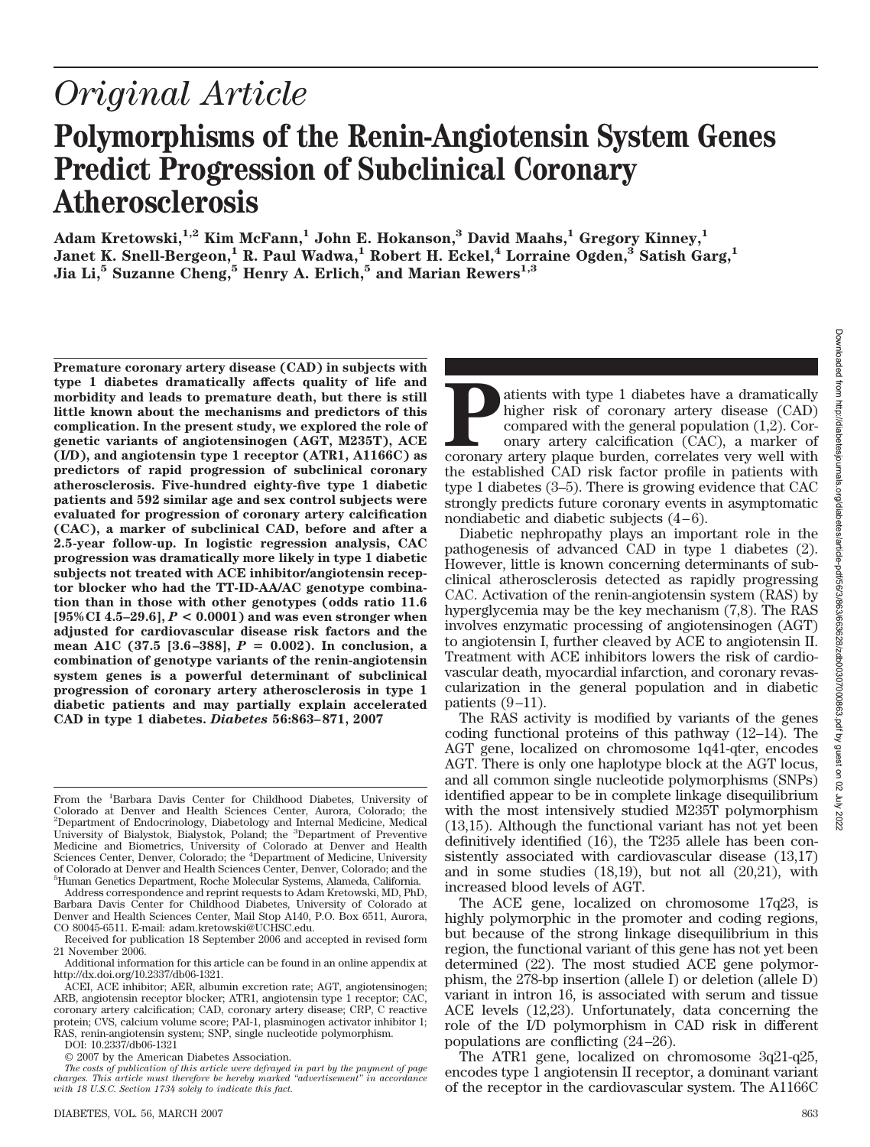# *Original Article* **Polymorphisms of the Renin-Angiotensin System Genes Predict Progression of Subclinical Coronary**

**Adam Kretowski,1,2 Kim McFann,1 John E. Hokanson,3 David Maahs,1 Gregory Kinney,1**  $J$ anet K. Snell-Bergeon,<sup>1</sup> R. Paul Wadwa,<sup>1</sup> Robert H. Eckel,<sup>4</sup> Lorraine Ogden,<sup>3</sup> Satish Garg,<sup>1</sup> **Jia Li,5 Suzanne Cheng,5 Henry A. Erlich,5 and Marian Rewers1,3**

**Premature coronary artery disease (CAD) in subjects with type 1 diabetes dramatically affects quality of life and morbidity and leads to premature death, but there is still little known about the mechanisms and predictors of this complication. In the present study, we explored the role of genetic variants of angiotensinogen (AGT, M235T), ACE (I/D), and angiotensin type 1 receptor (ATR1, A1166C) as predictors of rapid progression of subclinical coronary atherosclerosis. Five-hundred eighty-five type 1 diabetic patients and 592 similar age and sex control subjects were evaluated for progression of coronary artery calcification (CAC), a marker of subclinical CAD, before and after a 2.5-year follow-up. In logistic regression analysis, CAC progression was dramatically more likely in type 1 diabetic subjects not treated with ACE inhibitor/angiotensin receptor blocker who had the TT-ID-AA/AC genotype combination than in those with other genotypes (odds ratio 11.6 [95%CI 4.5–29.6],** *P* **< 0.0001) and was even stronger when adjusted for cardiovascular disease risk factors and the** mean A1C (37.5 [3.6-388],  $P = 0.002$ ). In conclusion, a **combination of genotype variants of the renin-angiotensin system genes is a powerful determinant of subclinical progression of coronary artery atherosclerosis in type 1 diabetic patients and may partially explain accelerated CAD in type 1 diabetes.** *Diabetes* **56:863– 871, 2007**

**Atherosclerosis**

From the <sup>1</sup>Barbara Davis Center for Childhood Diabetes, University of Colorado at Denver and Health Sciences Center, Aurora, Colorado; the 2 Department of Endocrinology, Diabetology and Internal Medicine, Medical University of Bialystok, Bialystok, Poland; the <sup>3</sup>Department of Preventive Medicine and Biometrics, University of Colorado at Denver and Health Sciences Center, Denver, Colorado; the <sup>4</sup>Department of Medicine, University of Colorado at Denver and Health Sciences Center, Denver, Colorado; and the 5 Human Genetics Department, Roche Molecular Systems, Alameda, California.

Address correspondence and reprint requests to Adam Kretowski, MD, PhD, Barbara Davis Center for Childhood Diabetes, University of Colorado at Denver and Health Sciences Center, Mail Stop A140, P.O. Box 6511, Aurora, CO 80045-6511. E-mail: adam.kretowski@UCHSC.edu.

Received for publication 18 September 2006 and accepted in revised form 21 November 2006.

Additional information for this article can be found in an online appendix at http://dx.doi.org/10.2337/db06-1321.

ACEI, ACE inhibitor; AER, albumin excretion rate; AGT, angiotensinogen; ARB, angiotensin receptor blocker; ATR1, angiotensin type 1 receptor; CAC, coronary artery calcification; CAD, coronary artery disease; CRP, C reactive protein; CVS, calcium volume score; PAI-1, plasminogen activator inhibitor 1; RAS, renin-angiotensin system; SNP, single nucleotide polymorphism.

DOI: 10.2337/db06-1321

© 2007 by the American Diabetes Association.

atients with type 1 diabetes have a dramatically higher risk of coronary artery disease (CAD) compared with the general population (1,2). Coronary artery calcification (CAC), a marker of coronary artery plaque burden, corr higher risk of coronary artery disease (CAD) compared with the general population (1,2). Coronary artery calcification (CAC), a marker of coronary artery plaque burden, correlates very well with the established CAD risk factor profile in patients with type 1 diabetes (3–5). There is growing evidence that CAC strongly predicts future coronary events in asymptomatic nondiabetic and diabetic subjects  $(4-6)$ . Diabetic nephropathy plays an important role in the

pathogenesis of advanced CAD in type 1 diabetes (2). However, little is known concerning determinants of subclinical atherosclerosis detected as rapidly progressing CAC. Activation of the renin-angiotensin system (RAS) by hyperglycemia may be the key mechanism (7,8). The RAS involves enzymatic processing of angiotensinogen (AGT) to angiotensin I, further cleaved by ACE to angiotensin II. Treatment with ACE inhibitors lowers the risk of cardiovascular death, myocardial infarction, and coronary revascularization in the general population and in diabetic patients  $(9-11)$ .

The RAS activity is modified by variants of the genes coding functional proteins of this pathway (12–14). The AGT gene, localized on chromosome 1q41-qter, encodes AGT. There is only one haplotype block at the AGT locus, and all common single nucleotide polymorphisms (SNPs) identified appear to be in complete linkage disequilibrium with the most intensively studied M235T polymorphism (13,15). Although the functional variant has not yet been definitively identified (16), the T235 allele has been consistently associated with cardiovascular disease (13,17) and in some studies (18,19), but not all (20,21), with increased blood levels of AGT.

The ACE gene, localized on chromosome 17q23, is highly polymorphic in the promoter and coding regions, but because of the strong linkage disequilibrium in this region, the functional variant of this gene has not yet been determined (22). The most studied ACE gene polymorphism, the 278-bp insertion (allele I) or deletion (allele D) variant in intron 16, is associated with serum and tissue ACE levels (12,23). Unfortunately, data concerning the role of the I/D polymorphism in CAD risk in different populations are conflicting (24 –26).

The ATR1 gene, localized on chromosome 3q21-q25, encodes type 1 angiotensin II receptor, a dominant variant of the receptor in the cardiovascular system. The A1166C

*The costs of publication of this article were defrayed in part by the payment of page charges. This article must therefore be hereby marked "advertisement" in accordance with 18 U.S.C. Section 1734 solely to indicate this fact.*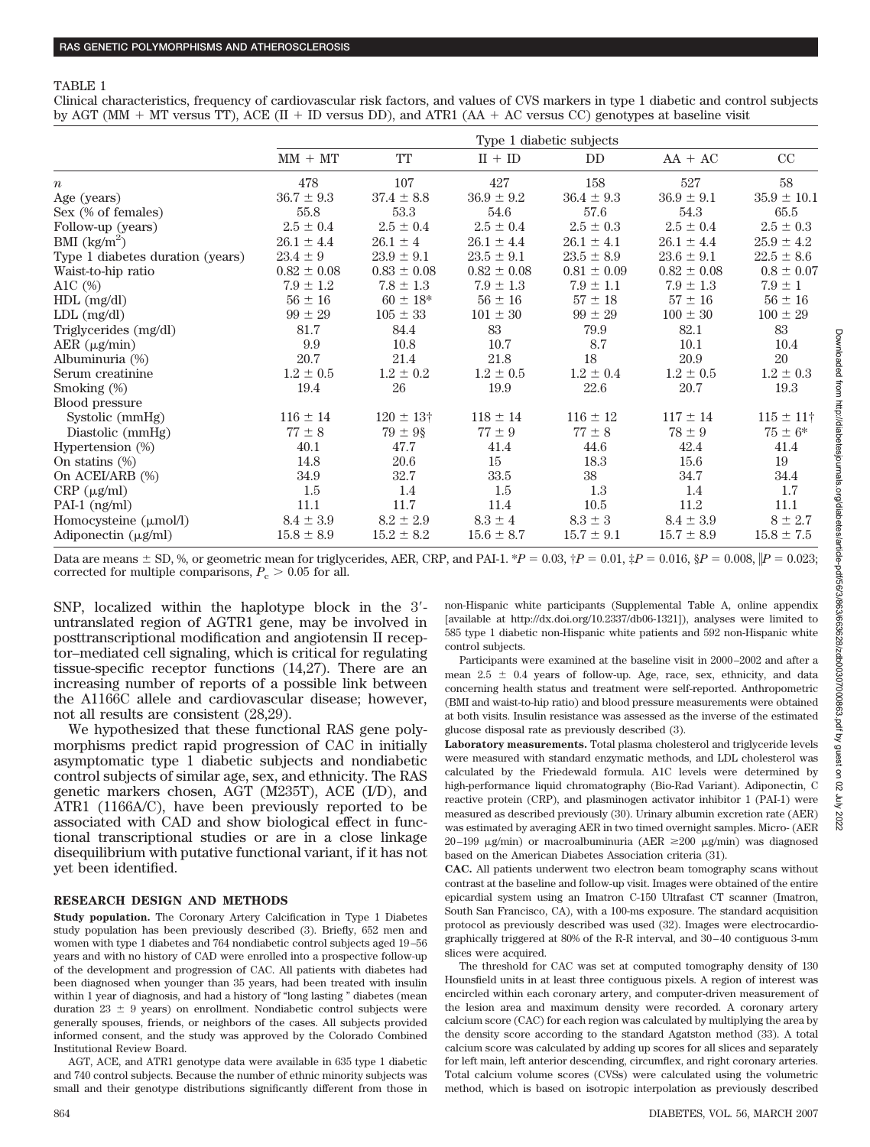Clinical characteristics, frequency of cardiovascular risk factors, and values of CVS markers in type 1 diabetic and control subjects by AGT (MM  $+$  MT versus TT), ACE (II  $+$  ID versus DD), and ATR1 (AA  $+$  AC versus CC) genotypes at baseline visit

|                                   |                 |                 |                 | Type 1 diabetic subjects |                 |                    |
|-----------------------------------|-----------------|-----------------|-----------------|--------------------------|-----------------|--------------------|
|                                   | $MM + MT$       | <b>TT</b>       | $II + ID$       | DD                       | $AA + AC$       | CC                 |
| $\boldsymbol{n}$                  | 478             | 107             | 427             | 158                      | 527             | 58                 |
| Age (years)                       | $36.7 \pm 9.3$  | $37.4 \pm 8.8$  | $36.9 \pm 9.2$  | $36.4 \pm 9.3$           | $36.9 \pm 9.1$  | $35.9 \pm 10.1$    |
| Sex (% of females)                | 55.8            | 53.3            | 54.6            | 57.6                     | 54.3            | 65.5               |
| Follow-up (years)                 | $2.5 \pm 0.4$   | $2.5 \pm 0.4$   | $2.5 \pm 0.4$   | $2.5 \pm 0.3$            | $2.5 \pm 0.4$   | $2.5 \pm 0.3$      |
| BMI $\left({\rm kg/m^2}\right)$   | $26.1 \pm 4.4$  | $26.1 \pm 4$    | $26.1 \pm 4.4$  | $26.1 \pm 4.1$           | $26.1 \pm 4.4$  | $25.9 \pm 4.2$     |
| Type 1 diabetes duration (years)  | $23.4 \pm 9$    | $23.9 \pm 9.1$  | $23.5 \pm 9.1$  | $23.5 \pm 8.9$           | $23.6 \pm 9.1$  | $22.5 \pm 8.6$     |
| Waist-to-hip ratio                | $0.82 \pm 0.08$ | $0.83 \pm 0.08$ | $0.82 \pm 0.08$ | $0.81 \pm 0.09$          | $0.82 \pm 0.08$ | $0.8 \pm 0.07$     |
| A1C $(\%)$                        | $7.9 \pm 1.2$   | $7.8 \pm 1.3$   | $7.9 \pm 1.3$   | $7.9 \pm 1.1$            | $7.9 \pm 1.3$   | $7.9 \pm 1$        |
| $HDL$ (mg/dl)                     | $56 \pm 16$     | $60 \pm 18^*$   | $56 \pm 16$     | $57 \pm 18$              | $57 \pm 16$     | $56 \pm 16$        |
| $LDL$ (mg/dl)                     | $99 \pm 29$     | $105 \pm 33$    | $101 \pm 30$    | $99 \pm 29$              | $100 \pm 30$    | $100 \pm 29$       |
| Triglycerides (mg/dl)             | 81.7            | 84.4            | 83              | 79.9                     | 82.1            | 83                 |
| $AER (\mu g/min)$                 | 9.9             | 10.8            | 10.7            | 8.7                      | 10.1            | 10.4               |
| Albuminuria (%)                   | 20.7            | 21.4            | 21.8            | 18                       | 20.9            | 20                 |
| Serum creatinine                  | $1.2 \pm 0.5$   | $1.2 \pm 0.2$   | $1.2 \pm 0.5$   | $1.2 \pm 0.4$            | $1.2 \pm 0.5$   | $1.2 \pm 0.3$      |
| Smoking (%)                       | 19.4            | 26              | 19.9            | 22.6                     | 20.7            | 19.3               |
| <b>Blood pressure</b>             |                 |                 |                 |                          |                 |                    |
| Systolic (mmHg)                   | $116 \pm 14$    | $120 \pm 13$ †  | $118 \pm 14$    | $116 \pm 12$             | $117 \pm 14$    | $115 \pm 11$ †     |
| Diastolic (mmHg)                  | $77 \pm 8$      | $79 \pm 9$ §    | $77 \pm 9$      | $77\pm8$                 | $78 \pm 9$      | $75 \pm 6*$        |
| Hypertension (%)                  | 40.1            | 47.7            | 41.4            | 44.6                     | 42.4            | 41.4               |
| On statins $(\%)$                 | 14.8            | 20.6            | 15              | 18.3                     | 15.6            | 19                 |
| On ACEI/ARB (%)                   | 34.9            | 32.7            | 33.5            | 38                       | 34.7            | 34.4               |
| $CRP (\mu g/ml)$                  | 1.5             | 1.4             | 1.5             | 1.3                      | 1.4             | 1.7                |
| PAI-1 (ng/ml)                     | 11.1            | 11.7            | 11.4            | 10.5                     | 11.2            | 11.1               |
| Homocysteine $(\mu \text{mol/l})$ | $8.4 \pm 3.9$   | $8.2 \pm 2.9$   | $8.3 \pm 4$     | $8.3 \pm 3$              | $8.4 \pm 3.9$   | $8 \pm 2.7$        |
| Adiponectin $(\mu g/ml)$          | $15.8 \pm 8.9$  | $15.2 \pm 8.2$  | $15.6 \pm 8.7$  | $15.7\pm9.1$             | $15.7 \pm 8.9$  | $15.8$ $\pm$ $7.5$ |

Data are means  $\pm$  SD, %, or geometric mean for triglycerides, AER, CRP, and PAI-1.  $^{*}P = 0.03$ ,  $^{+}P = 0.01$ ,  $^{+}_{*}P = 0.016$ ,  $^{8}P = 0.008$ ,  $\|P = 0.023$ ; corrected for multiple comparisons,  $P_c > 0.05$  for all.

SNP, localized within the haplotype block in the 3 untranslated region of AGTR1 gene, may be involved in posttranscriptional modification and angiotensin II receptor–mediated cell signaling, which is critical for regulating tissue-specific receptor functions (14,27). There are an increasing number of reports of a possible link between the A1166C allele and cardiovascular disease; however, not all results are consistent (28,29).

We hypothesized that these functional RAS gene polymorphisms predict rapid progression of CAC in initially asymptomatic type 1 diabetic subjects and nondiabetic control subjects of similar age, sex, and ethnicity. The RAS genetic markers chosen, AGT (M235T), ACE (I/D), and ATR1 (1166A/C), have been previously reported to be associated with CAD and show biological effect in functional transcriptional studies or are in a close linkage disequilibrium with putative functional variant, if it has not yet been identified.

### **RESEARCH DESIGN AND METHODS**

**Study population.** The Coronary Artery Calcification in Type 1 Diabetes study population has been previously described (3). Briefly, 652 men and women with type 1 diabetes and 764 nondiabetic control subjects aged 19 –56 years and with no history of CAD were enrolled into a prospective follow-up of the development and progression of CAC. All patients with diabetes had been diagnosed when younger than 35 years, had been treated with insulin within 1 year of diagnosis, and had a history of "long lasting " diabetes (mean duration  $23 \pm 9$  years) on enrollment. Nondiabetic control subjects were generally spouses, friends, or neighbors of the cases. All subjects provided informed consent, and the study was approved by the Colorado Combined Institutional Review Board.

AGT, ACE, and ATR1 genotype data were available in 635 type 1 diabetic and 740 control subjects. Because the number of ethnic minority subjects was small and their genotype distributions significantly different from those in non-Hispanic white participants (Supplemental Table A, online appendix [available at http://dx.doi.org/10.2337/db06-1321]), analyses were limited to 585 type 1 diabetic non-Hispanic white patients and 592 non-Hispanic white control subjects.

Participants were examined at the baseline visit in 2000 –2002 and after a mean  $2.5 \pm 0.4$  years of follow-up. Age, race, sex, ethnicity, and data concerning health status and treatment were self-reported. Anthropometric (BMI and waist-to-hip ratio) and blood pressure measurements were obtained at both visits. Insulin resistance was assessed as the inverse of the estimated glucose disposal rate as previously described (3).

**Laboratory measurements.** Total plasma cholesterol and triglyceride levels were measured with standard enzymatic methods, and LDL cholesterol was calculated by the Friedewald formula. A1C levels were determined by high-performance liquid chromatography (Bio-Rad Variant). Adiponectin, C reactive protein (CRP), and plasminogen activator inhibitor 1 (PAI-1) were measured as described previously (30). Urinary albumin excretion rate (AER) was estimated by averaging AER in two timed overnight samples. Micro- (AER 20–199  $\mu$ g/min) or macroalbuminuria (AER  $\geq$ 200  $\mu$ g/min) was diagnosed based on the American Diabetes Association criteria (31).

**CAC.** All patients underwent two electron beam tomography scans without contrast at the baseline and follow-up visit. Images were obtained of the entire epicardial system using an Imatron C-150 Ultrafast CT scanner (Imatron, South San Francisco, CA), with a 100-ms exposure. The standard acquisition protocol as previously described was used (32). Images were electrocardiographically triggered at 80% of the R-R interval, and 30 – 40 contiguous 3-mm slices were acquired.

The threshold for CAC was set at computed tomography density of 130 Hounsfield units in at least three contiguous pixels. A region of interest was encircled within each coronary artery, and computer-driven measurement of the lesion area and maximum density were recorded. A coronary artery calcium score (CAC) for each region was calculated by multiplying the area by the density score according to the standard Agatston method (33). A total calcium score was calculated by adding up scores for all slices and separately for left main, left anterior descending, circumflex, and right coronary arteries. Total calcium volume scores (CVSs) were calculated using the volumetric method, which is based on isotropic interpolation as previously described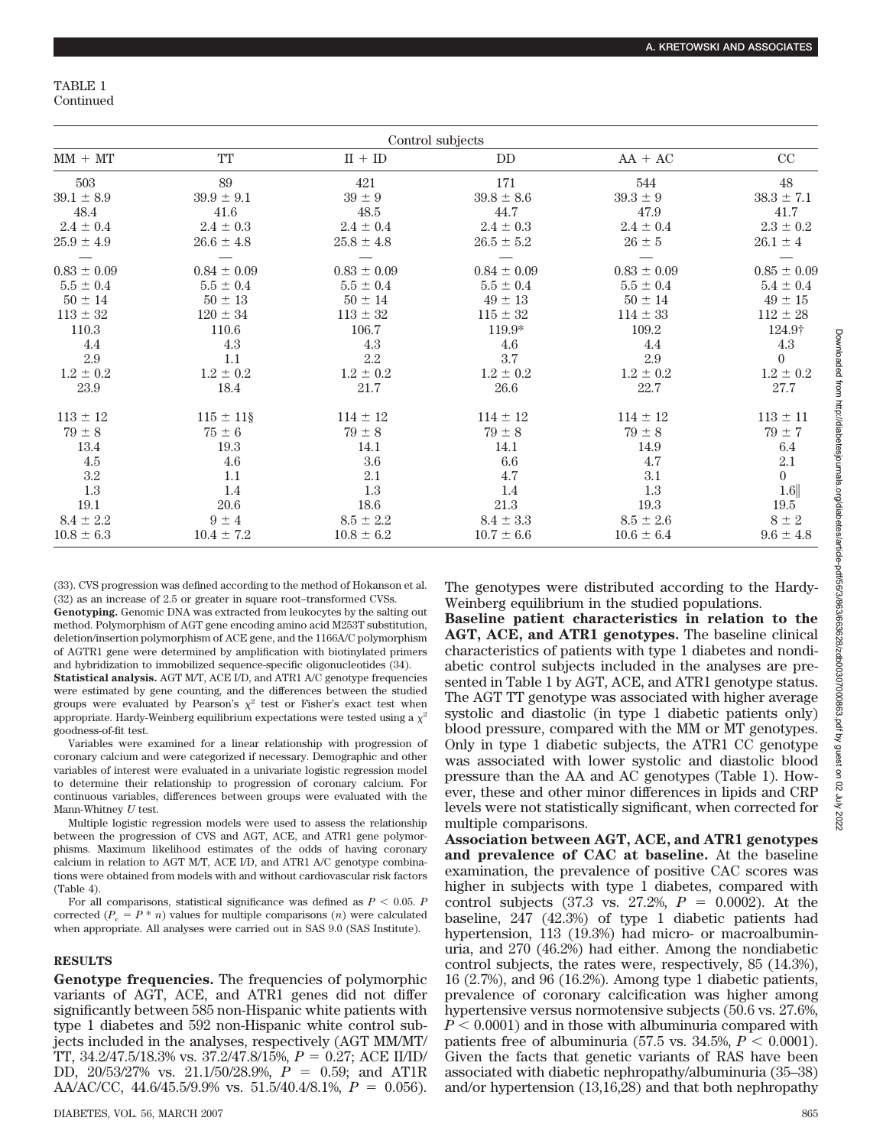|                 | Control subjects |                 |                 |                 |                 |  |  |  |  |  |  |
|-----------------|------------------|-----------------|-----------------|-----------------|-----------------|--|--|--|--|--|--|
| $MM + MT$       | TT               | $II + ID$       | <b>DD</b>       | $AA + AC$       | CC              |  |  |  |  |  |  |
| 503             | 89               | 421             | 171             | 544             | 48              |  |  |  |  |  |  |
| $39.1\pm8.9$    | $39.9 \pm 9.1$   | $39 \pm 9$      | $39.8 \pm 8.6$  | $39.3 \pm 9$    | $38.3 \pm 7.1$  |  |  |  |  |  |  |
| 48.4            | 41.6             | 48.5            | 44.7            | 47.9            | 41.7            |  |  |  |  |  |  |
| $2.4 \pm 0.4$   | $2.4 \pm 0.3$    | $2.4 \pm 0.4$   | $2.4 \pm 0.3$   | $2.4 \pm 0.4$   | $2.3 \pm 0.2$   |  |  |  |  |  |  |
| $25.9 \pm 4.9$  | $26.6 \pm 4.8$   | $25.8 \pm 4.8$  | $26.5 \pm 5.2$  | $26 \pm 5$      | $26.1 \pm 4$    |  |  |  |  |  |  |
|                 |                  |                 |                 |                 |                 |  |  |  |  |  |  |
| $0.83 \pm 0.09$ | $0.84 \pm 0.09$  | $0.83 \pm 0.09$ | $0.84 \pm 0.09$ | $0.83 \pm 0.09$ | $0.85 \pm 0.09$ |  |  |  |  |  |  |
| $5.5 \pm 0.4$   | $5.5 \pm 0.4$    | $5.5 \pm 0.4$   | $5.5 \pm 0.4$   | $5.5 \pm 0.4$   | $5.4 \pm 0.4$   |  |  |  |  |  |  |
| $50 \pm 14$     | $50 \pm 13$      | $50 \pm 14$     | $49 \pm 13$     | $50 \pm 14$     | $49 \pm 15$     |  |  |  |  |  |  |
| $113 \pm 32$    | $120 \pm 34$     | $113 \pm 32$    | $115 \pm 32$    | $114 \pm 33$    | $112 \pm 28$    |  |  |  |  |  |  |
| 110.3           | 110.6            | 106.7           | $119.9*$        | 109.2           | 124.9†          |  |  |  |  |  |  |
| 4.4             | 4.3              | 4.3             | 4.6             | 4.4             | 4.3             |  |  |  |  |  |  |
| 2.9             | 1.1              | 2.2             | 3.7             | 2.9             | $\theta$        |  |  |  |  |  |  |
| $1.2 \pm 0.2$   | $1.2 \pm 0.2$    | $1.2 \pm 0.2$   | $1.2 \pm 0.2$   | $1.2 \pm 0.2$   | $1.2 \pm 0.2$   |  |  |  |  |  |  |
| 23.9            | 18.4             | 21.7            | 26.6            | 22.7            | 27.7            |  |  |  |  |  |  |
| $113 \pm 12$    | $115 \pm 11\$    | $114 \pm 12$    | $114 \pm 12$    | $114 \pm 12$    | $113 \pm 11$    |  |  |  |  |  |  |
| $79 \pm 8$      | $75\pm6$         | $79 \pm 8$      | $79 \pm 8$      | $79 \pm 8$      | $79\pm7$        |  |  |  |  |  |  |
| 13.4            | 19.3             | 14.1            | 14.1            | 14.9            | $6.4\,$         |  |  |  |  |  |  |
| 4.5             | 4.6              | 3.6             | 6.6             | 4.7             | 2.1             |  |  |  |  |  |  |
| $3.2\,$         | 1.1              | 2.1             | 4.7             | $3.1\,$         | $\theta$        |  |  |  |  |  |  |
| 1.3             | 1.4              | 1.3             | 1.4             | 1.3             | 1.6             |  |  |  |  |  |  |
| $19.1\,$        | 20.6             | 18.6            | $21.3\,$        | 19.3            | 19.5            |  |  |  |  |  |  |
| $8.4 \pm 2.2$   | $9 \pm 4$        | $8.5 \pm 2.2$   | $8.4 \pm 3.3$   | $8.5 \pm 2.6$   | $8 \pm 2$       |  |  |  |  |  |  |
| $10.8 \pm 6.3$  | $10.4 \pm 7.2$   | $10.8 \pm 6.2$  | $10.7 \pm 6.6$  | $10.6 \pm 6.4$  | $9.6 \pm 4.8$   |  |  |  |  |  |  |

(33). CVS progression was defined according to the method of Hokanson et al. (32) as an increase of 2.5 or greater in square root–transformed CVSs.

**Genotyping.** Genomic DNA was extracted from leukocytes by the salting out method. Polymorphism of AGT gene encoding amino acid M253T substitution, deletion/insertion polymorphism of ACE gene, and the 1166A/C polymorphism of AGTR1 gene were determined by amplification with biotinylated primers and hybridization to immobilized sequence-specific oligonucleotides (34).

**Statistical analysis.** AGT M/T, ACE I/D, and ATR1 A/C genotype frequencies were estimated by gene counting, and the differences between the studied groups were evaluated by Pearson's  $\chi^2$  test or Fisher's exact test when appropriate. Hardy-Weinberg equilibrium expectations were tested using a  $\chi^2$ goodness-of-fit test.

Variables were examined for a linear relationship with progression of coronary calcium and were categorized if necessary. Demographic and other variables of interest were evaluated in a univariate logistic regression model to determine their relationship to progression of coronary calcium. For continuous variables, differences between groups were evaluated with the Mann-Whitney *U* test.

Multiple logistic regression models were used to assess the relationship between the progression of CVS and AGT, ACE, and ATR1 gene polymorphisms. Maximum likelihood estimates of the odds of having coronary calcium in relation to AGT M/T, ACE I/D, and ATR1 A/C genotype combinations were obtained from models with and without cardiovascular risk factors (Table 4).

For all comparisons, statistical significance was defined as  $P < 0.05$ . *P* corrected  $(P_c = P^* n)$  values for multiple comparisons  $(n)$  were calculated when appropriate. All analyses were carried out in SAS 9.0 (SAS Institute).

# **RESULTS**

**Genotype frequencies.** The frequencies of polymorphic variants of AGT, ACE, and ATR1 genes did not differ significantly between 585 non-Hispanic white patients with type 1 diabetes and 592 non-Hispanic white control subjects included in the analyses, respectively (AGT MM/MT/ TT, 34.2/47.5/18.3% vs. 37.2/47.8/15%, *P* 0.27; ACE II/ID/ DD, 20/53/27% vs. 21.1/50/28.9%,  $P = 0.59$ ; and AT1R AA/AC/CC, 44.6/45.5/9.9% vs. 51.5/40.4/8.1%,  $P = 0.056$ ). The genotypes were distributed according to the Hardy-Weinberg equilibrium in the studied populations.

**Baseline patient characteristics in relation to the AGT, ACE, and ATR1 genotypes.** The baseline clinical characteristics of patients with type 1 diabetes and nondiabetic control subjects included in the analyses are presented in Table 1 by AGT, ACE, and ATR1 genotype status. The AGT TT genotype was associated with higher average systolic and diastolic (in type 1 diabetic patients only) blood pressure, compared with the MM or MT genotypes. Only in type 1 diabetic subjects, the ATR1 CC genotype was associated with lower systolic and diastolic blood pressure than the AA and AC genotypes (Table 1). However, these and other minor differences in lipids and CRP levels were not statistically significant, when corrected for multiple comparisons.

**Association between AGT, ACE, and ATR1 genotypes and prevalence of CAC at baseline.** At the baseline examination, the prevalence of positive CAC scores was higher in subjects with type 1 diabetes, compared with control subjects (37.3 vs. 27.2%,  $P = 0.0002$ ). At the baseline, 247 (42.3%) of type 1 diabetic patients had hypertension, 113 (19.3%) had micro- or macroalbuminuria, and 270 (46.2%) had either. Among the nondiabetic control subjects, the rates were, respectively, 85 (14.3%), 16 (2.7%), and 96 (16.2%). Among type 1 diabetic patients, prevalence of coronary calcification was higher among hypertensive versus normotensive subjects (50.6 vs. 27.6%,  $P < 0.0001$ ) and in those with albuminuria compared with patients free of albuminuria (57.5 vs. 34.5%,  $P < 0.0001$ ). Given the facts that genetic variants of RAS have been associated with diabetic nephropathy/albuminuria (35–38) and/or hypertension (13,16,28) and that both nephropathy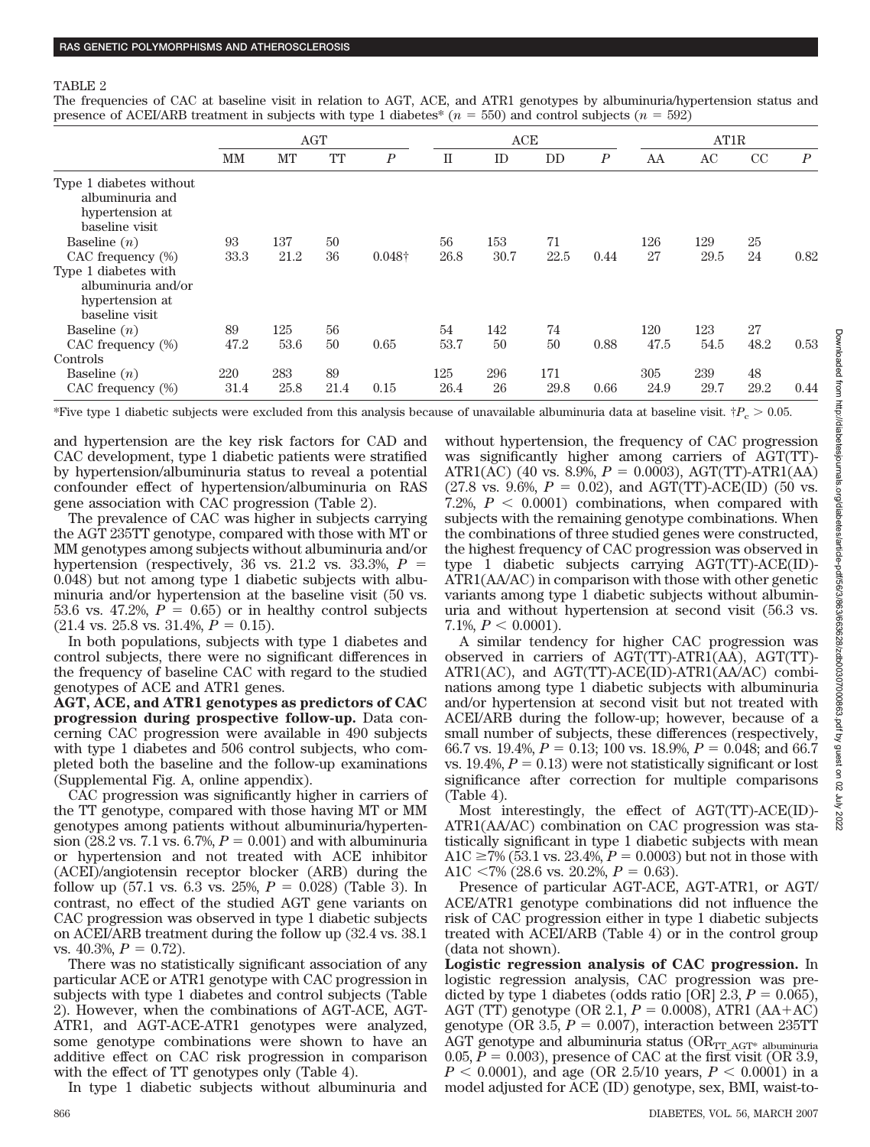The frequencies of CAC at baseline visit in relation to AGT, ACE, and ATR1 genotypes by albuminuria/hypertension status and presence of ACEI/ARB treatment in subjects with type 1 diabetes<sup>\*</sup> ( $n = 550$ ) and control subjects ( $n = 592$ )

|                                                                                 | <b>AGT</b> |      |      |                  |      | ACE  |      |                  |      | AT1R |      |                  |  |
|---------------------------------------------------------------------------------|------------|------|------|------------------|------|------|------|------------------|------|------|------|------------------|--|
|                                                                                 | MМ         | MT   | TT   | $\boldsymbol{P}$ | П    | ID   | DD   | $\boldsymbol{P}$ | AA   | AC   | CC   | $\boldsymbol{P}$ |  |
| Type 1 diabetes without<br>albuminuria and<br>hypertension at<br>baseline visit |            |      |      |                  |      |      |      |                  |      |      |      |                  |  |
| Baseline $(n)$                                                                  | 93         | 137  | 50   |                  | 56   | 153  | 71   |                  | 126  | 129  | 25   |                  |  |
| CAC frequency (%)                                                               | 33.3       | 21.2 | 36   | $0.048\dagger$   | 26.8 | 30.7 | 22.5 | 0.44             | 27   | 29.5 | 24   | 0.82             |  |
| Type 1 diabetes with<br>albuminuria and/or<br>hypertension at<br>baseline visit |            |      |      |                  |      |      |      |                  |      |      |      |                  |  |
| Baseline $(n)$                                                                  | 89         | 125  | 56   |                  | 54   | 142  | 74   |                  | 120  | 123  | 27   |                  |  |
| CAC frequency (%)                                                               | 47.2       | 53.6 | 50   | 0.65             | 53.7 | 50   | 50   | 0.88             | 47.5 | 54.5 | 48.2 | 0.53             |  |
| Controls                                                                        |            |      |      |                  |      |      |      |                  |      |      |      |                  |  |
| Baseline $(n)$                                                                  | 220        | 283  | 89   |                  | 125  | 296  | 171  |                  | 305  | 239  | 48   |                  |  |
| CAC frequency (%)                                                               | 31.4       | 25.8 | 21.4 | 0.15             | 26.4 | 26   | 29.8 | 0.66             | 24.9 | 29.7 | 29.2 | 0.44             |  |

\*Five type 1 diabetic subjects were excluded from this analysis because of unavailable albuminuria data at baseline visit.  $\dot{P}_c > 0.05$ .

and hypertension are the key risk factors for CAD and CAC development, type 1 diabetic patients were stratified by hypertension/albuminuria status to reveal a potential confounder effect of hypertension/albuminuria on RAS gene association with CAC progression (Table 2).

The prevalence of CAC was higher in subjects carrying the AGT 235TT genotype, compared with those with MT or MM genotypes among subjects without albuminuria and/or hypertension (respectively, 36 vs. 21.2 vs. 33.3%, *P* 0.048) but not among type 1 diabetic subjects with albuminuria and/or hypertension at the baseline visit (50 vs. 53.6 vs. 47.2%,  $P = 0.65$  or in healthy control subjects  $(21.4 \text{ vs. } 25.8 \text{ vs. } 31.4\%, P = 0.15).$ 

In both populations, subjects with type 1 diabetes and control subjects, there were no significant differences in the frequency of baseline CAC with regard to the studied genotypes of ACE and ATR1 genes.

**AGT, ACE, and ATR1 genotypes as predictors of CAC progression during prospective follow-up.** Data concerning CAC progression were available in 490 subjects with type 1 diabetes and 506 control subjects, who completed both the baseline and the follow-up examinations (Supplemental Fig. A, online appendix).

CAC progression was significantly higher in carriers of the TT genotype, compared with those having MT or MM genotypes among patients without albuminuria/hypertension (28.2 vs. 7.1 vs. 6.7%,  $P = 0.001$ ) and with albuminuria or hypertension and not treated with ACE inhibitor (ACEI)/angiotensin receptor blocker (ARB) during the follow up (57.1 vs. 6.3 vs. 25%,  $P = 0.028$ ) (Table 3). In contrast, no effect of the studied AGT gene variants on CAC progression was observed in type 1 diabetic subjects on ACEI/ARB treatment during the follow up (32.4 vs. 38.1 vs. 40.3%,  $P = 0.72$ ).

There was no statistically significant association of any particular ACE or ATR1 genotype with CAC progression in subjects with type 1 diabetes and control subjects (Table 2). However, when the combinations of AGT-ACE, AGT-ATR1, and AGT-ACE-ATR1 genotypes were analyzed, some genotype combinations were shown to have an additive effect on CAC risk progression in comparison with the effect of TT genotypes only (Table 4).

In type 1 diabetic subjects without albuminuria and

without hypertension, the frequency of CAC progression was significantly higher among carriers of AGT(TT)- ATR1(AC) (40 vs. 8.9%,  $P = 0.0003$ ), AGT(TT)-ATR1(AA)  $(27.8 \text{ vs. } 9.6\%, P = 0.02)$ , and AGT(TT)-ACE(ID) (50 vs. 7.2%,  $P < 0.0001$ ) combinations, when compared with subjects with the remaining genotype combinations. When the combinations of three studied genes were constructed, the highest frequency of CAC progression was observed in type 1 diabetic subjects carrying AGT(TT)-ACE(ID)- ATR1(AA/AC) in comparison with those with other genetic variants among type 1 diabetic subjects without albuminuria and without hypertension at second visit (56.3 vs. 7.1\%,  $P < 0.0001$ ).

A similar tendency for higher CAC progression was observed in carriers of AGT(TT)-ATR1(AA), AGT(TT)- ATR1(AC), and AGT(TT)-ACE(ID)-ATR1(AA/AC) combinations among type 1 diabetic subjects with albuminuria and/or hypertension at second visit but not treated with ACEI/ARB during the follow-up; however, because of a small number of subjects, these differences (respectively, 66.7 vs. 19.4%,  $P = 0.13$ ; 100 vs. 18.9%,  $P = 0.048$ ; and 66.7 vs. 19.4%,  $P = 0.13$ ) were not statistically significant or lost significance after correction for multiple comparisons (Table 4).

Most interestingly, the effect of AGT(TT)-ACE(ID)- ATR1(AA/AC) combination on CAC progression was statistically significant in type 1 diabetic subjects with mean A1C  $\geq$ 7% (53.1 vs. 23.4%, *P* = 0.0003) but not in those with A1C  $\langle 7\%$  (28.6 vs. 20.2%,  $P = 0.63$ ).

Presence of particular AGT-ACE, AGT-ATR1, or AGT/ ACE/ATR1 genotype combinations did not influence the risk of CAC progression either in type 1 diabetic subjects treated with ACEI/ARB (Table 4) or in the control group (data not shown).

**Logistic regression analysis of CAC progression.** In logistic regression analysis, CAC progression was predicted by type 1 diabetes (odds ratio [OR]  $2.3, P = 0.065$ ), AGT (TT) genotype (OR 2.1,  $P = 0.0008$ ), ATR1 (AA+AC) genotype (OR 3.5,  $P = 0.007$ ), interaction between 235TT AGT genotype and albuminuria status ( $OR_{TT\_AGT^*}$  albuminuria 0.05,  $P = 0.003$ ), presence of CAC at the first visit (OR 3.9,  $P < 0.0001$ , and age (OR 2.5/10 years,  $P < 0.0001$ ) in a model adjusted for ACE (ID) genotype, sex, BMI, waist-to-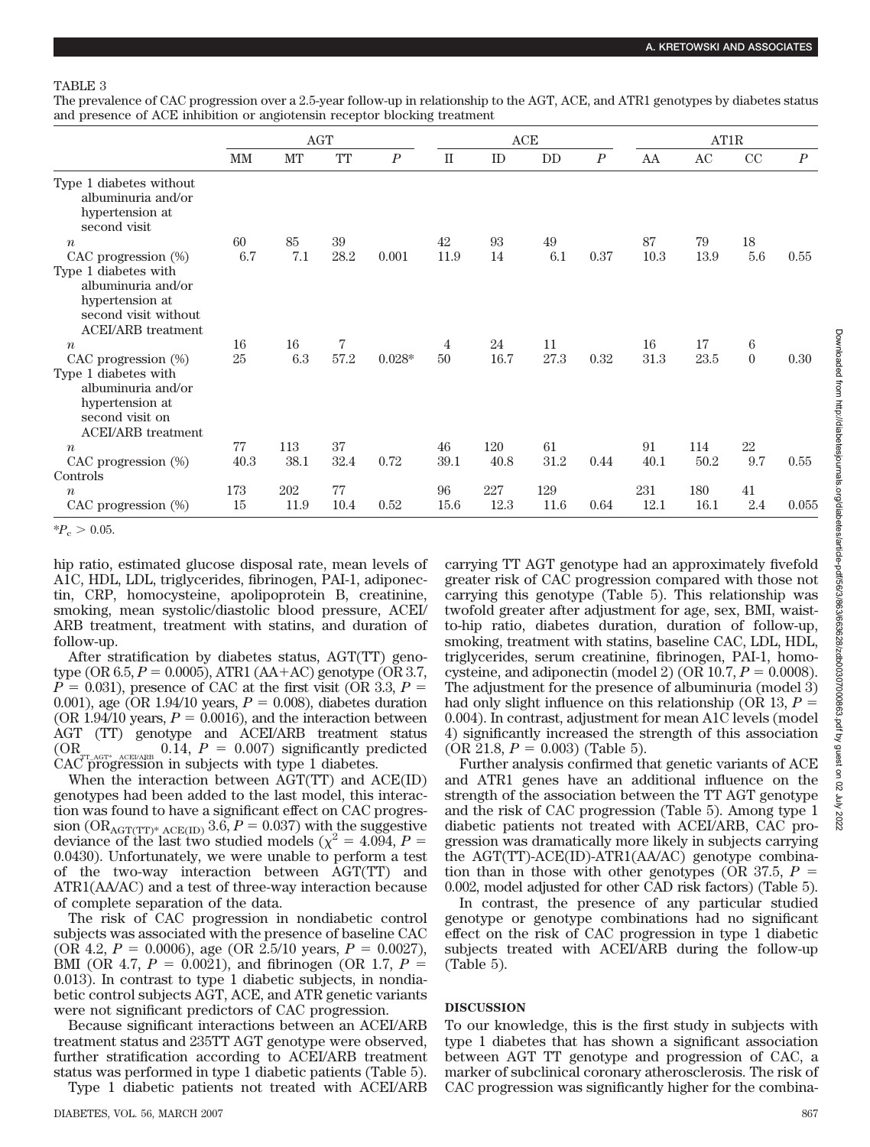The prevalence of CAC progression over a 2.5-year follow-up in relationship to the AGT, ACE, and ATR1 genotypes by diabetes status and presence of ACE inhibition or angiotensin receptor blocking treatment

|                                                                                  | <b>AGT</b> |      |      |                  | ACE       |      |      |                  | AT1R |          |                |                  |
|----------------------------------------------------------------------------------|------------|------|------|------------------|-----------|------|------|------------------|------|----------|----------------|------------------|
|                                                                                  | MM         | MT   | TT   | $\boldsymbol{P}$ | $\rm{II}$ | ID   | DD   | $\boldsymbol{P}$ | AA   | $\rm AC$ | CC             | $\boldsymbol{P}$ |
| Type 1 diabetes without<br>albuminuria and/or<br>hypertension at<br>second visit |            |      |      |                  |           |      |      |                  |      |          |                |                  |
| $\boldsymbol{n}$                                                                 | 60         | 85   | 39   |                  | 42        | 93   | 49   |                  | 87   | 79       | 18             |                  |
| CAC progression (%)<br>Type 1 diabetes with<br>albuminuria and/or                | 6.7        | 7.1  | 28.2 | 0.001            | 11.9      | 14   | 6.1  | 0.37             | 10.3 | 13.9     | 5.6            | 0.55             |
| hypertension at<br>second visit without<br><b>ACEI/ARB</b> treatment             |            |      |      |                  |           |      |      |                  |      |          |                |                  |
| $\boldsymbol{n}$                                                                 | 16         | 16   | 7    |                  | 4         | 24   | 11   |                  | 16   | 17       | 6              |                  |
| CAC progression (%)                                                              | 25         | 6.3  | 57.2 | $0.028*$         | 50        | 16.7 | 27.3 | 0.32             | 31.3 | 23.5     | $\overline{0}$ | 0.30             |
| Type 1 diabetes with<br>albuminuria and/or<br>hypertension at<br>second visit on |            |      |      |                  |           |      |      |                  |      |          |                |                  |
| <b>ACEI/ARB</b> treatment                                                        |            |      |      |                  |           |      |      |                  |      |          |                |                  |
| $\boldsymbol{n}$                                                                 | 77         | 113  | 37   |                  | 46        | 120  | 61   |                  | 91   | 114      | 22             |                  |
| CAC progression (%)<br>Controls                                                  | 40.3       | 38.1 | 32.4 | 0.72             | 39.1      | 40.8 | 31.2 | 0.44             | 40.1 | 50.2     | 9.7            | 0.55             |
| $\boldsymbol{n}$                                                                 | 173        | 202  | 77   |                  | 96        | 227  | 129  |                  | 231  | 180      | $41\,$         |                  |
| CAC progression (%)                                                              | 15         | 11.9 | 10.4 | 0.52             | 15.6      | 12.3 | 11.6 | 0.64             | 12.1 | 16.1     | $2.4\,$        | 0.055            |

 $*P_c > 0.05$ .

hip ratio, estimated glucose disposal rate, mean levels of A1C, HDL, LDL, triglycerides, fibrinogen, PAI-1, adiponectin, CRP, homocysteine, apolipoprotein B, creatinine, smoking, mean systolic/diastolic blood pressure, ACEI/ ARB treatment, treatment with statins, and duration of follow-up.

After stratification by diabetes status, AGT(TT) genotype (OR  $6.5, P = 0.0005$ ), ATR1 (AA+AC) genotype (OR 3.7,  $P = 0.031$ ), presence of CAC at the first visit (OR 3.3,  $P =$ 0.001), age (OR 1.94/10 years,  $P = 0.008$ ), diabetes duration (OR 1.94/10 years,  $P = 0.0016$ ), and the interaction between AGT (TT) genotype and ACEI/ARB treatment status  $\text{OR}_{\text{CT_AGT* ACEIARB}}$  0.14,  $P = 0.007$  significantly predicted CAC progression in subjects with type 1 diabetes.

When the interaction between AGT(TT) and ACE(ID) genotypes had been added to the last model, this interaction was found to have a significant effect on CAC progression ( $OR_{AGT(TT)^* ACE(ID)}$  3.6,  $P = 0.037$ ) with the suggestive deviance of the last two studied models ( $\chi^2 = 4.094$ , *P* = 0.0430). Unfortunately, we were unable to perform a test of the two-way interaction between AGT(TT) and ATR1(AA/AC) and a test of three-way interaction because of complete separation of the data.

The risk of CAC progression in nondiabetic control subjects was associated with the presence of baseline CAC (OR 4.2,  $P = 0.0006$ ), age (OR 2.5/10 years,  $P = 0.0027$ ), BMI (OR 4.7,  $P = 0.0021$ ), and fibrinogen (OR 1.7,  $P =$ 0.013). In contrast to type 1 diabetic subjects, in nondiabetic control subjects AGT, ACE, and ATR genetic variants were not significant predictors of CAC progression.

Because significant interactions between an ACEI/ARB treatment status and 235TT AGT genotype were observed, further stratification according to ACEI/ARB treatment status was performed in type 1 diabetic patients (Table 5). Type 1 diabetic patients not treated with ACEI/ARB

DIABETES, VOL. 56, MARCH 2007 867

carrying TT AGT genotype had an approximately fivefold greater risk of CAC progression compared with those not carrying this genotype (Table 5). This relationship was twofold greater after adjustment for age, sex, BMI, waistto-hip ratio, diabetes duration, duration of follow-up, smoking, treatment with statins, baseline CAC, LDL, HDL, triglycerides, serum creatinine, fibrinogen, PAI-1, homocysteine, and adiponectin (model 2) (OR  $10.7$ ,  $P = 0.0008$ ). The adjustment for the presence of albuminuria (model 3) had only slight influence on this relationship (OR 13, *P* 0.004). In contrast, adjustment for mean A1C levels (model 4) significantly increased the strength of this association  $(OR 21.8, P = 0.003)$  (Table 5).

Further analysis confirmed that genetic variants of ACE and ATR1 genes have an additional influence on the strength of the association between the TT AGT genotype and the risk of CAC progression (Table 5). Among type 1 diabetic patients not treated with ACEI/ARB, CAC progression was dramatically more likely in subjects carrying the AGT(TT)-ACE(ID)-ATR1(AA/AC) genotype combination than in those with other genotypes (OR  $37.5$ ,  $P =$ 0.002, model adjusted for other CAD risk factors) (Table 5).

In contrast, the presence of any particular studied genotype or genotype combinations had no significant effect on the risk of CAC progression in type 1 diabetic subjects treated with ACEI/ARB during the follow-up (Table 5).

# **DISCUSSION**

To our knowledge, this is the first study in subjects with type 1 diabetes that has shown a significant association between AGT TT genotype and progression of CAC, a marker of subclinical coronary atherosclerosis. The risk of CAC progression was significantly higher for the combina-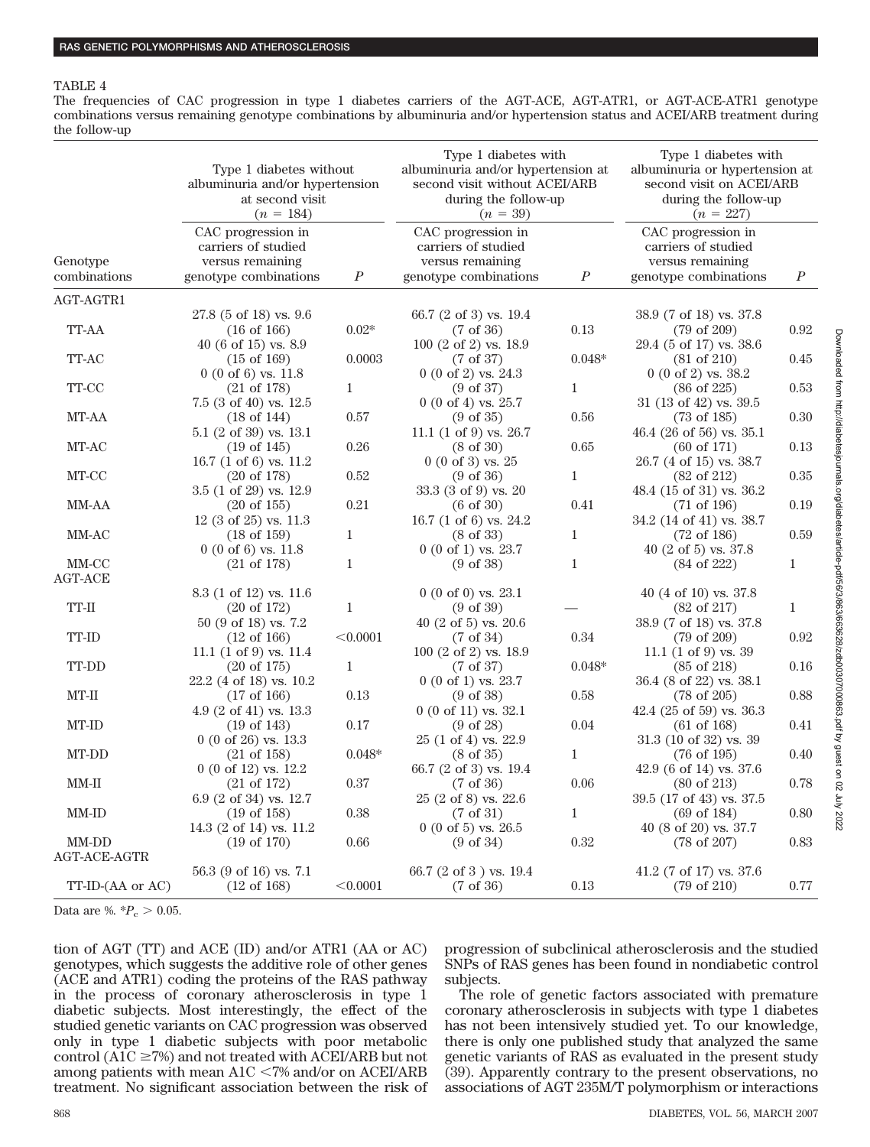The frequencies of CAC progression in type 1 diabetes carriers of the AGT-ACE, AGT-ATR1, or AGT-ACE-ATR1 genotype combinations versus remaining genotype combinations by albuminuria and/or hypertension status and ACEI/ARB treatment during the follow-up

|                         | Type 1 diabetes without<br>albuminuria and/or hypertension<br>at second visit<br>$(n = 184)$ |                  | Type 1 diabetes with<br>albuminuria and/or hypertension at<br>second visit without ACEI/ARB<br>during the follow-up<br>$(n = 39)$ | Type 1 diabetes with<br>albuminuria or hypertension at<br>second visit on ACEI/ARB<br>during the follow-up<br>$(n = 227)$ |                                                                              |                  |  |
|-------------------------|----------------------------------------------------------------------------------------------|------------------|-----------------------------------------------------------------------------------------------------------------------------------|---------------------------------------------------------------------------------------------------------------------------|------------------------------------------------------------------------------|------------------|--|
| Genotype                | CAC progression in<br>carriers of studied<br>versus remaining                                |                  | CAC progression in<br>carriers of studied<br>versus remaining                                                                     |                                                                                                                           | CAC progression in<br>carriers of studied<br>versus remaining                |                  |  |
| combinations            | genotype combinations                                                                        | $\boldsymbol{P}$ | genotype combinations                                                                                                             | $\boldsymbol{P}$                                                                                                          | genotype combinations                                                        | $\boldsymbol{P}$ |  |
| AGT-AGTR1               |                                                                                              |                  |                                                                                                                                   |                                                                                                                           |                                                                              |                  |  |
| TT-AA                   | 27.8 (5 of 18) vs. 9.6<br>$(16 \text{ of } 166)$<br>40 (6 of 15) vs. $8.9$                   | $0.02\mathrm{*}$ | 66.7 (2 of 3) vs. 19.4<br>$(7 \text{ of } 36)$<br>100 (2 of 2) vs. 18.9                                                           | $0.13\,$                                                                                                                  | 38.9 (7 of 18) vs. 37.8<br>$(79 \text{ of } 209)$<br>29.4 (5 of 17) vs. 38.6 | 0.92             |  |
| TT-AC                   | $(15 \text{ of } 169)$<br>$0(0 \text{ of } 6)$ vs. 11.8                                      | 0.0003           | $(7 \text{ of } 37)$<br>$0(0 \text{ of } 2)$ vs. 24.3                                                                             | $0.048*$                                                                                                                  | $(81 \text{ of } 210)$<br>$0(0 \text{ of } 2)$ vs. 38.2                      | 0.45             |  |
| TT-CC                   | $(21 \text{ of } 178)$<br>$7.5(3 \text{ of } 40)$ vs. $12.5$                                 | $\mathbf{1}$     | $(9 \text{ of } 37)$<br>$0(0 \text{ of } 4)$ vs. 25.7                                                                             | $\mathbf{1}$                                                                                                              | $(86 \text{ of } 225)$<br>31 (13 of 42) vs. $39.5$                           | 0.53             |  |
| MT-AA                   | $(18 \text{ of } 144)$<br>5.1 (2 of 39) vs. 13.1                                             | 0.57             | $(9 \text{ of } 35)$<br>11.1 $(1 \text{ of } 9)$ vs. 26.7                                                                         | 0.56                                                                                                                      | $(73 \text{ of } 185)$<br>46.4 (26 of 56) vs. $35.1$                         | 0.30             |  |
| MT-AC                   | $(19 \text{ of } 145)$<br>16.7 $(1 \text{ of } 6)$ vs. 11.2                                  | 0.26             | $(8 \text{ of } 30)$<br>$0(0 \text{ of } 3)$ vs. 25                                                                               | 0.65                                                                                                                      | $(60 \text{ of } 171)$<br>26.7 (4 of 15) vs. 38.7                            | 0.13             |  |
| MT-CC                   | $(20 \text{ of } 178)$<br>$3.5$ (1 of 29) vs. 12.9                                           | 0.52             | $(9 \text{ of } 36)$<br>33.3 (3 of 9) vs. 20                                                                                      | 1                                                                                                                         | $(82 \text{ of } 212)$<br>48.4 (15 of 31) vs. 36.2                           | 0.35             |  |
| MM-AA                   | $(20 \text{ of } 155)$<br>$12$ (3 of 25) vs. $11.3$                                          | 0.21             | $(6 \text{ of } 30)$<br>16.7 (1 of 6) vs. 24.2                                                                                    | 0.41                                                                                                                      | $(71 \text{ of } 196)$<br>34.2 (14 of 41) vs. 38.7                           | 0.19             |  |
| MM-AC                   | $(18 \text{ of } 159)$<br>$0(0 \text{ of } 6)$ vs. 11.8                                      | $\mathbf{1}$     | $(8 \text{ of } 33)$<br>$0(0 \text{ of } 1)$ vs. 23.7                                                                             | $\mathbf{1}$                                                                                                              | $(72 \text{ of } 186)$<br>40 (2 of 5) vs. $37.8$                             | 0.59             |  |
| MM-CC<br><b>AGT-ACE</b> | $(21 \text{ of } 178)$                                                                       | $\mathbf{1}$     | $(9 \text{ of } 38)$                                                                                                              | $\mathbf{1}$                                                                                                              | $(84 \text{ of } 222)$                                                       | $\mathbf{1}$     |  |
|                         | 8.3 (1 of 12) vs. 11.6                                                                       |                  | $0(0 \text{ of } 0)$ vs. 23.1                                                                                                     |                                                                                                                           | 40 (4 of 10) vs. $37.8$                                                      |                  |  |
| $TT-II$                 | $(20 \text{ of } 172)$<br>50 (9 of 18) vs. 7.2                                               | 1                | $(9 \text{ of } 39)$<br>40 (2 of 5) vs. $20.6$                                                                                    |                                                                                                                           | $(82 \text{ of } 217)$<br>38.9 (7 of 18) vs. 37.8                            | $\mathbf{1}$     |  |
| TT-ID                   | $(12 \text{ of } 166)$<br>11.1 $(1 \text{ of } 9)$ vs. 11.4                                  | < 0.0001         | $(7 \text{ of } 34)$<br>$100(2 \text{ of } 2)$ vs. $18.9$                                                                         | 0.34                                                                                                                      | $(79 \text{ of } 209)$<br>11.1 $(1 \text{ of } 9)$ vs. 39                    | 0.92             |  |
| TT-DD                   | $(20 \text{ of } 175)$<br>22.2 (4 of 18) vs. 10.2                                            | $\mathbf{1}$     | $(7 \text{ of } 37)$<br>$0(0 \text{ of } 1)$ vs. 23.7                                                                             | $0.048*$                                                                                                                  | $(85 \text{ of } 218)$<br>36.4 (8 of 22) vs. 38.1                            | 0.16             |  |
| $MT-II$                 | $(17 \text{ of } 166)$<br>4.9 $(2 \text{ of } 41)$ vs. 13.3                                  | 0.13             | $(9 \text{ of } 38)$<br>$0(0 \text{ of } 11)$ vs. 32.1                                                                            | 0.58                                                                                                                      | $(78 \text{ of } 205)$<br>42.4 (25 of 59) vs. $36.3$                         | 0.88             |  |
| MT-ID                   | $(19 \text{ of } 143)$<br>$0(0 \text{ of } 26)$ vs. 13.3                                     | 0.17             | $(9 \text{ of } 28)$<br>25 (1 of 4) vs. 22.9                                                                                      | 0.04                                                                                                                      | $(61 \text{ of } 168)$<br>$31.3$ (10 of 32) vs. 39                           | 0.41             |  |
| MT-DD                   | $(21 \text{ of } 158)$<br>$0(0 \text{ of } 12)$ vs. $12.2$                                   | $0.048*$         | $(8 \text{ of } 35)$<br>66.7 (2 of 3) vs. 19.4                                                                                    | $\mathbf{1}$                                                                                                              | $(76 \text{ of } 195)$<br>42.9 (6 of 14) vs. 37.6                            | 0.40             |  |
| $MM-II$                 | $(21 \text{ of } 172)$<br>$6.9$ (2 of 34) vs. 12.7                                           | 0.37             | $(7 \text{ of } 36)$<br>$25(2 \text{ of } 8)$ vs. $22.6$                                                                          | 0.06                                                                                                                      | $(80 \text{ of } 213)$<br>39.5 (17 of 43) vs. 37.5                           | 0.78             |  |
| MM-ID                   | $(19 \text{ of } 158)$<br>14.3 (2 of 14) vs. 11.2                                            | 0.38             | $(7 \text{ of } 31)$<br>$0(0 \text{ of } 5)$ vs. 26.5                                                                             | $\mathbf{1}$                                                                                                              | $(69 \text{ of } 184)$<br>40 (8 of 20) vs. 37.7                              | 0.80             |  |
| MM-DD<br>AGT-ACE-AGTR   | $(19 \text{ of } 170)$                                                                       | 0.66             | $(9 \text{ of } 34)$                                                                                                              | 0.32                                                                                                                      | $(78 \text{ of } 207)$                                                       | 0.83             |  |
| TT-ID-(AA or AC)        | $56.3$ (9 of 16) vs. 7.1<br>$(12 \text{ of } 168)$                                           | < 0.0001         | 66.7 $(2 \text{ of } 3)$ vs. 19.4<br>$(7 \text{ of } 36)$                                                                         | 0.13                                                                                                                      | 41.2 (7 of 17) vs. 37.6<br>$(79 \text{ of } 210)$                            | $0.77\,$         |  |

Data are %.  $*P_c > 0.05$ .

tion of AGT (TT) and ACE (ID) and/or ATR1 (AA or AC) genotypes, which suggests the additive role of other genes (ACE and ATR1) coding the proteins of the RAS pathway in the process of coronary atherosclerosis in type 1 diabetic subjects. Most interestingly, the effect of the studied genetic variants on CAC progression was observed only in type 1 diabetic subjects with poor metabolic control (A1C  $\geq$ 7%) and not treated with ACEI/ARB but not among patients with mean  $A1C < 7%$  and/or on  $ACEI/ARB$ treatment. No significant association between the risk of progression of subclinical atherosclerosis and the studied SNPs of RAS genes has been found in nondiabetic control subjects.

The role of genetic factors associated with premature coronary atherosclerosis in subjects with type 1 diabetes has not been intensively studied yet. To our knowledge, there is only one published study that analyzed the same genetic variants of RAS as evaluated in the present study (39). Apparently contrary to the present observations, no associations of AGT 235M/T polymorphism or interactions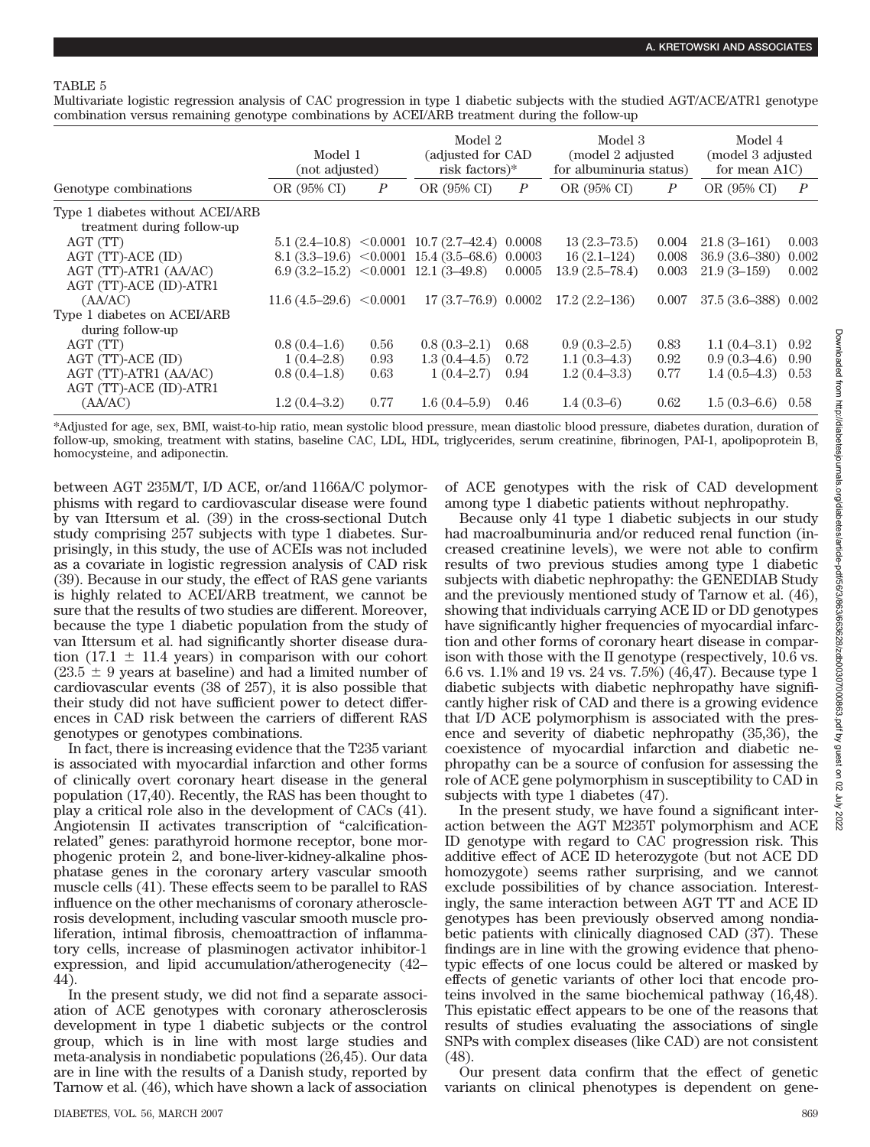Multivariate logistic regression analysis of CAC progression in type 1 diabetic subjects with the studied AGT/ACE/ATR1 genotype combination versus remaining genotype combinations by ACEI/ARB treatment during the follow-up

|                                                                | Model 1<br>(not adjusted)              |                  | Model 2<br>(adjusted for CAD)<br>risk factors)*      |                  | Model 3<br>(model 2 adjusted<br>for albuminuria status) |                  | Model 4<br>(model 3 adjusted<br>for mean $A1C$ ) |                  |
|----------------------------------------------------------------|----------------------------------------|------------------|------------------------------------------------------|------------------|---------------------------------------------------------|------------------|--------------------------------------------------|------------------|
| Genotype combinations                                          | OR (95% CI)                            | $\boldsymbol{P}$ | OR (95% CI)                                          | $\boldsymbol{P}$ | OR (95% CI)                                             | $\boldsymbol{P}$ | OR (95% CI)                                      | $\boldsymbol{P}$ |
| Type 1 diabetes without ACEI/ARB<br>treatment during follow-up |                                        |                  |                                                      |                  |                                                         |                  |                                                  |                  |
| AGT (TT)                                                       |                                        |                  | $5.1(2.4-10.8)$ $\leq 0.0001$ 10.7 (2.7-42.4) 0.0008 |                  | $13(2.3 - 73.5)$                                        | 0.004            | $21.8(3-161)$                                    | 0.003            |
| AGT (TT)-ACE (ID)                                              |                                        |                  | $8.1 (3.3-19.6)$ < 0.0001 15.4 (3.5-68.6) 0.0003     |                  | $16(2.1-124)$                                           | 0.008            | $36.9(3.6 - 380)$                                | 0.002            |
| AGT (TT)-ATR1 (AA/AC)                                          | $6.9(3.2-15.2)$ < 0.0001 12.1 (3-49.8) |                  |                                                      | 0.0005           | $13.9(2.5 - 78.4)$                                      | 0.003            | $21.9(3-159)$                                    | 0.002            |
| AGT (TT)-ACE (ID)-ATR1                                         |                                        |                  |                                                      |                  |                                                         |                  |                                                  |                  |
| (AA/AC)                                                        | $11.6(4.5-29.6) < 0.0001$              |                  | $17(3.7-76.9)$ 0.0002                                |                  | $17.2(2.2-136)$                                         | 0.007            | $37.5(3.6-388)$ 0.002                            |                  |
| Type 1 diabetes on ACEI/ARB                                    |                                        |                  |                                                      |                  |                                                         |                  |                                                  |                  |
| during follow-up                                               |                                        |                  |                                                      |                  |                                                         |                  |                                                  |                  |
| AGT (TT)                                                       | $0.8(0.4-1.6)$                         | 0.56             | $0.8(0.3-2.1)$                                       | 0.68             | $0.9(0.3-2.5)$                                          | 0.83             | $1.1(0.4-3.1)$                                   | 0.92             |
| AGT (TT)-ACE (ID)                                              | $1(0.4-2.8)$                           | 0.93             | $1.3(0.4-4.5)$                                       | 0.72             | $1.1(0.3-4.3)$                                          | 0.92             | $0.9(0.3-4.6)$                                   | 0.90             |
| AGT (TT)-ATR1 (AA/AC)                                          | $0.8(0.4-1.8)$                         | 0.63             | $1(0.4-2.7)$                                         | 0.94             | $1.2(0.4 - 3.3)$                                        | 0.77             | $1.4(0.5-4.3)$                                   | 0.53             |
| AGT (TT)-ACE (ID)-ATR1                                         |                                        |                  |                                                      |                  |                                                         |                  |                                                  |                  |
| (AA/AC)                                                        | $1.2(0.4 - 3.2)$                       | 0.77             | 1.6(0.4–5.9)                                         | 0.46             | $1.4(0.3-6)$                                            | 0.62             | 1.5(0.3–6.6)                                     | 0.58             |

\*Adjusted for age, sex, BMI, waist-to-hip ratio, mean systolic blood pressure, mean diastolic blood pressure, diabetes duration, duration of follow-up, smoking, treatment with statins, baseline CAC, LDL, HDL, triglycerides, serum creatinine, fibrinogen, PAI-1, apolipoprotein B, homocysteine, and adiponectin.

between AGT 235M/T, I/D ACE, or/and 1166A/C polymorphisms with regard to cardiovascular disease were found by van Ittersum et al. (39) in the cross-sectional Dutch study comprising 257 subjects with type 1 diabetes. Surprisingly, in this study, the use of ACEIs was not included as a covariate in logistic regression analysis of CAD risk (39). Because in our study, the effect of RAS gene variants is highly related to ACEI/ARB treatment, we cannot be sure that the results of two studies are different. Moreover, because the type 1 diabetic population from the study of van Ittersum et al. had significantly shorter disease duration (17.1  $\pm$  11.4 years) in comparison with our cohort  $(23.5 \pm 9)$  years at baseline) and had a limited number of cardiovascular events (38 of 257), it is also possible that their study did not have sufficient power to detect differences in CAD risk between the carriers of different RAS genotypes or genotypes combinations.

In fact, there is increasing evidence that the T235 variant is associated with myocardial infarction and other forms of clinically overt coronary heart disease in the general population (17,40). Recently, the RAS has been thought to play a critical role also in the development of CACs (41). Angiotensin II activates transcription of "calcificationrelated" genes: parathyroid hormone receptor, bone morphogenic protein 2, and bone-liver-kidney-alkaline phosphatase genes in the coronary artery vascular smooth muscle cells (41). These effects seem to be parallel to RAS influence on the other mechanisms of coronary atherosclerosis development, including vascular smooth muscle proliferation, intimal fibrosis, chemoattraction of inflammatory cells, increase of plasminogen activator inhibitor-1 expression, and lipid accumulation/atherogenecity (42– 44).

In the present study, we did not find a separate association of ACE genotypes with coronary atherosclerosis development in type 1 diabetic subjects or the control group, which is in line with most large studies and meta-analysis in nondiabetic populations (26,45). Our data are in line with the results of a Danish study, reported by Tarnow et al. (46), which have shown a lack of association

of ACE genotypes with the risk of CAD development among type 1 diabetic patients without nephropathy.

Because only 41 type 1 diabetic subjects in our study had macroalbuminuria and/or reduced renal function (increased creatinine levels), we were not able to confirm results of two previous studies among type 1 diabetic subjects with diabetic nephropathy: the GENEDIAB Study and the previously mentioned study of Tarnow et al. (46), showing that individuals carrying ACE ID or DD genotypes have significantly higher frequencies of myocardial infarction and other forms of coronary heart disease in comparison with those with the II genotype (respectively, 10.6 vs. 6.6 vs. 1.1% and 19 vs. 24 vs. 7.5%) (46,47). Because type 1 diabetic subjects with diabetic nephropathy have significantly higher risk of CAD and there is a growing evidence that I/D ACE polymorphism is associated with the presence and severity of diabetic nephropathy (35,36), the coexistence of myocardial infarction and diabetic nephropathy can be a source of confusion for assessing the role of ACE gene polymorphism in susceptibility to CAD in subjects with type 1 diabetes (47).

In the present study, we have found a significant interaction between the AGT M235T polymorphism and ACE ID genotype with regard to CAC progression risk. This additive effect of ACE ID heterozygote (but not ACE DD homozygote) seems rather surprising, and we cannot exclude possibilities of by chance association. Interestingly, the same interaction between AGT TT and ACE ID genotypes has been previously observed among nondiabetic patients with clinically diagnosed CAD (37). These findings are in line with the growing evidence that phenotypic effects of one locus could be altered or masked by effects of genetic variants of other loci that encode proteins involved in the same biochemical pathway (16,48). This epistatic effect appears to be one of the reasons that results of studies evaluating the associations of single SNPs with complex diseases (like CAD) are not consistent (48).

Our present data confirm that the effect of genetic variants on clinical phenotypes is dependent on gene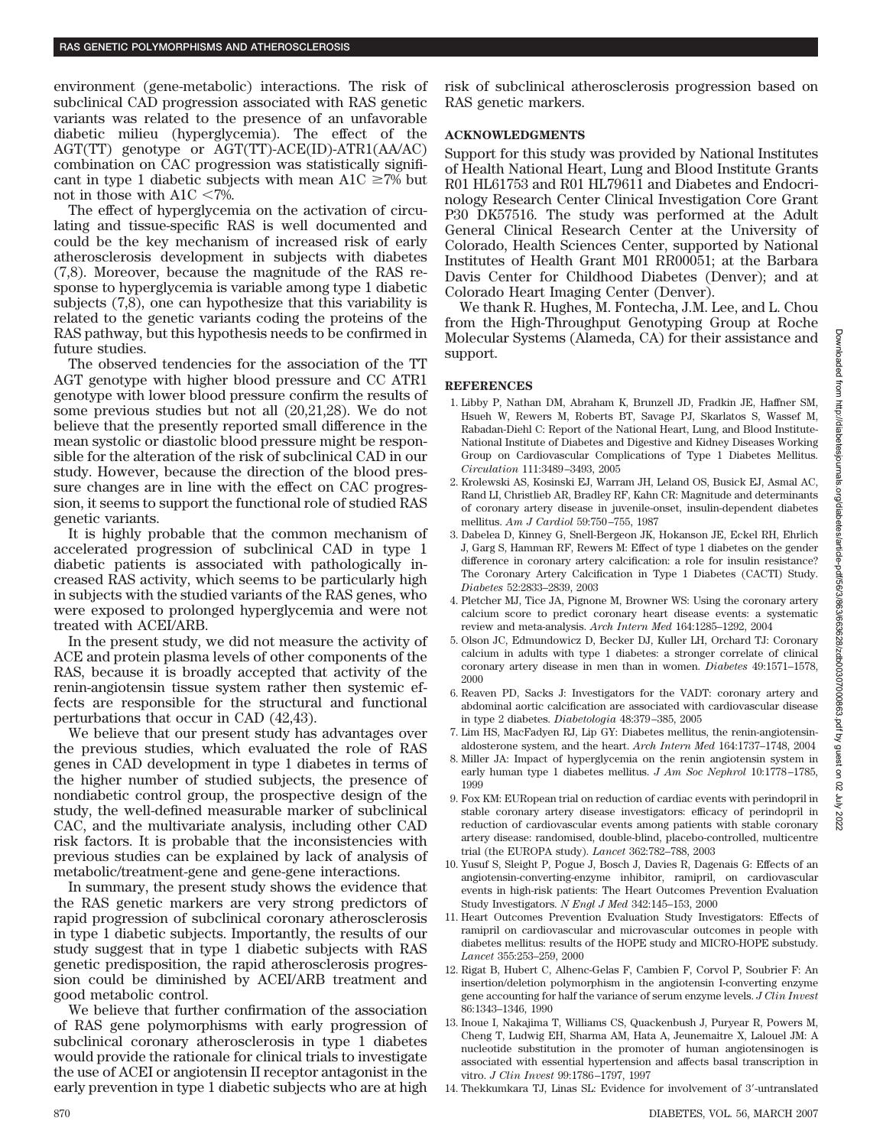environment (gene-metabolic) interactions. The risk of subclinical CAD progression associated with RAS genetic variants was related to the presence of an unfavorable diabetic milieu (hyperglycemia). The effect of the AGT(TT) genotype or AGT(TT)-ACE(ID)-ATR1(AA/AC) combination on CAC progression was statistically significant in type 1 diabetic subjects with mean A1C  $\geq 7\%$  but not in those with  $A1C < 7\%$ .

The effect of hyperglycemia on the activation of circulating and tissue-specific RAS is well documented and could be the key mechanism of increased risk of early atherosclerosis development in subjects with diabetes (7,8). Moreover, because the magnitude of the RAS response to hyperglycemia is variable among type 1 diabetic subjects (7,8), one can hypothesize that this variability is related to the genetic variants coding the proteins of the RAS pathway, but this hypothesis needs to be confirmed in future studies.

The observed tendencies for the association of the TT AGT genotype with higher blood pressure and CC ATR1 genotype with lower blood pressure confirm the results of some previous studies but not all (20,21,28). We do not believe that the presently reported small difference in the mean systolic or diastolic blood pressure might be responsible for the alteration of the risk of subclinical CAD in our study. However, because the direction of the blood pressure changes are in line with the effect on CAC progression, it seems to support the functional role of studied RAS genetic variants.

It is highly probable that the common mechanism of accelerated progression of subclinical CAD in type 1 diabetic patients is associated with pathologically increased RAS activity, which seems to be particularly high in subjects with the studied variants of the RAS genes, who were exposed to prolonged hyperglycemia and were not treated with ACEI/ARB.

In the present study, we did not measure the activity of ACE and protein plasma levels of other components of the RAS, because it is broadly accepted that activity of the renin-angiotensin tissue system rather then systemic effects are responsible for the structural and functional perturbations that occur in CAD (42,43).

We believe that our present study has advantages over the previous studies, which evaluated the role of RAS genes in CAD development in type 1 diabetes in terms of the higher number of studied subjects, the presence of nondiabetic control group, the prospective design of the study, the well-defined measurable marker of subclinical CAC, and the multivariate analysis, including other CAD risk factors. It is probable that the inconsistencies with previous studies can be explained by lack of analysis of metabolic/treatment-gene and gene-gene interactions.

In summary, the present study shows the evidence that the RAS genetic markers are very strong predictors of rapid progression of subclinical coronary atherosclerosis in type 1 diabetic subjects. Importantly, the results of our study suggest that in type 1 diabetic subjects with RAS genetic predisposition, the rapid atherosclerosis progression could be diminished by ACEI/ARB treatment and good metabolic control.

We believe that further confirmation of the association of RAS gene polymorphisms with early progression of subclinical coronary atherosclerosis in type 1 diabetes would provide the rationale for clinical trials to investigate the use of ACEI or angiotensin II receptor antagonist in the early prevention in type 1 diabetic subjects who are at high risk of subclinical atherosclerosis progression based on RAS genetic markers.

## **ACKNOWLEDGMENTS**

Support for this study was provided by National Institutes of Health National Heart, Lung and Blood Institute Grants R01 HL61753 and R01 HL79611 and Diabetes and Endocrinology Research Center Clinical Investigation Core Grant P30 DK57516. The study was performed at the Adult General Clinical Research Center at the University of Colorado, Health Sciences Center, supported by National Institutes of Health Grant M01 RR00051; at the Barbara Davis Center for Childhood Diabetes (Denver); and at Colorado Heart Imaging Center (Denver).

We thank R. Hughes, M. Fontecha, J.M. Lee, and L. Chou from the High-Throughput Genotyping Group at Roche Molecular Systems (Alameda, CA) for their assistance and support.

# **REFERENCES**

- 1. Libby P, Nathan DM, Abraham K, Brunzell JD, Fradkin JE, Haffner SM, Hsueh W, Rewers M, Roberts BT, Savage PJ, Skarlatos S, Wassef M, Rabadan-Diehl C: Report of the National Heart, Lung, and Blood Institute-National Institute of Diabetes and Digestive and Kidney Diseases Working Group on Cardiovascular Complications of Type 1 Diabetes Mellitus. *Circulation* 111:3489 –3493, 2005
- 2. Krolewski AS, Kosinski EJ, Warram JH, Leland OS, Busick EJ, Asmal AC, Rand LI, Christlieb AR, Bradley RF, Kahn CR: Magnitude and determinants of coronary artery disease in juvenile-onset, insulin-dependent diabetes mellitus. *Am J Cardiol* 59:750 –755, 1987
- 3. Dabelea D, Kinney G, Snell-Bergeon JK, Hokanson JE, Eckel RH, Ehrlich J, Garg S, Hamman RF, Rewers M: Effect of type 1 diabetes on the gender difference in coronary artery calcification: a role for insulin resistance? The Coronary Artery Calcification in Type 1 Diabetes (CACTI) Study. *Diabetes* 52:2833–2839, 2003
- 4. Pletcher MJ, Tice JA, Pignone M, Browner WS: Using the coronary artery calcium score to predict coronary heart disease events: a systematic review and meta-analysis. *Arch Intern Med* 164:1285–1292, 2004
- 5. Olson JC, Edmundowicz D, Becker DJ, Kuller LH, Orchard TJ: Coronary calcium in adults with type 1 diabetes: a stronger correlate of clinical coronary artery disease in men than in women. *Diabetes* 49:1571–1578, 2000
- 6. Reaven PD, Sacks J: Investigators for the VADT: coronary artery and abdominal aortic calcification are associated with cardiovascular disease in type 2 diabetes. *Diabetologia* 48:379 –385, 2005
- 7. Lim HS, MacFadyen RJ, Lip GY: Diabetes mellitus, the renin-angiotensinaldosterone system, and the heart. *Arch Intern Med* 164:1737–1748, 2004
- 8. Miller JA: Impact of hyperglycemia on the renin angiotensin system in early human type 1 diabetes mellitus. *J Am Soc Nephrol* 10:1778 –1785, 1999
- 9. Fox KM: EURopean trial on reduction of cardiac events with perindopril in stable coronary artery disease investigators: efficacy of perindopril in reduction of cardiovascular events among patients with stable coronary artery disease: randomised, double-blind, placebo-controlled, multicentre trial (the EUROPA study). *Lancet* 362:782–788, 2003
- 10. Yusuf S, Sleight P, Pogue J, Bosch J, Davies R, Dagenais G: Effects of an angiotensin-converting-enzyme inhibitor, ramipril, on cardiovascular events in high-risk patients: The Heart Outcomes Prevention Evaluation Study Investigators. *N Engl J Med* 342:145–153, 2000
- 11. Heart Outcomes Prevention Evaluation Study Investigators: Effects of ramipril on cardiovascular and microvascular outcomes in people with diabetes mellitus: results of the HOPE study and MICRO-HOPE substudy. *Lancet* 355:253–259, 2000
- 12. Rigat B, Hubert C, Alhenc-Gelas F, Cambien F, Corvol P, Soubrier F: An insertion/deletion polymorphism in the angiotensin I-converting enzyme gene accounting for half the variance of serum enzyme levels. *J Clin Invest* 86:1343–1346, 1990
- 13. Inoue I, Nakajima T, Williams CS, Quackenbush J, Puryear R, Powers M, Cheng T, Ludwig EH, Sharma AM, Hata A, Jeunemaitre X, Lalouel JM: A nucleotide substitution in the promoter of human angiotensinogen is associated with essential hypertension and affects basal transcription in vitro. *J Clin Invest* 99:1786 –1797, 1997
- 14. Thekkumkara TJ, Linas SL: Evidence for involvement of 3-untranslated